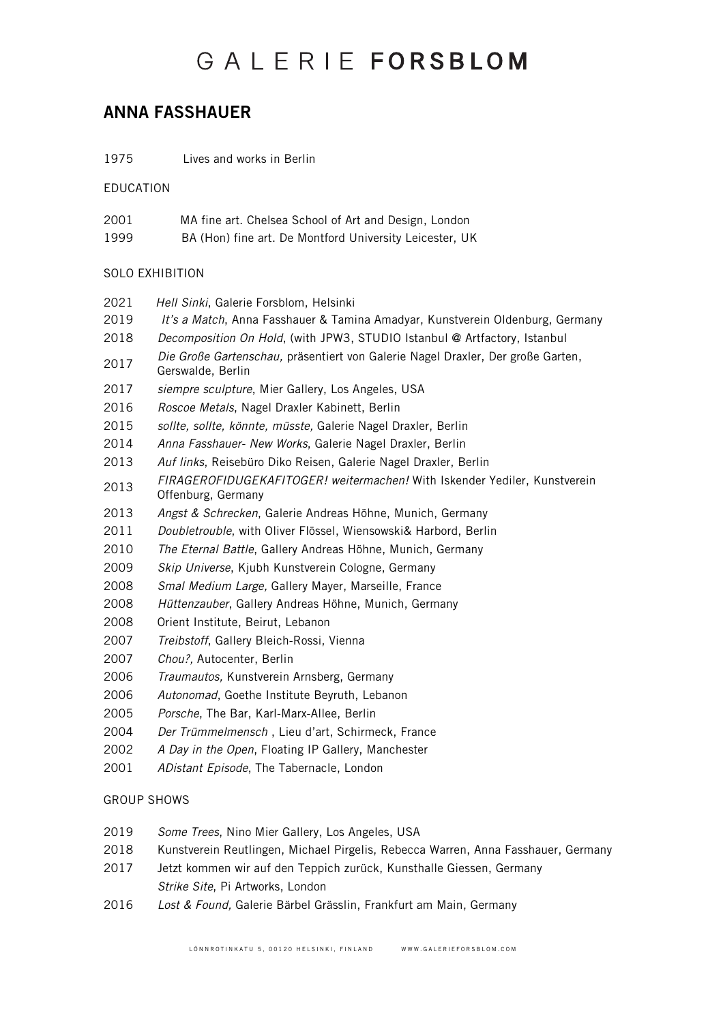## GAIFRIFFORSBLOM

### ANNA FASSHAUER

Lives and works in Berlin

*Hell Sinki*, Galerie Forsblom, Helsinki

EDUCATION

- MA fine art. Chelsea School of Art and Design, London
- BA (Hon) fine art. De Montford University Leicester, UK

#### SOLO EXHIBITION

- *It's a Match*, Anna Fasshauer & Tamina Amadyar, Kunstverein Oldenburg, Germany *Decomposition On Hold*, (with JPW3, STUDIO Istanbul @ Artfactory, Istanbul *Die Große Gartenschau,* präsentiert von Galerie Nagel Draxler, Der große Garten, Gerswalde, Berlin *siempre sculpture*, Mier Gallery, Los Angeles, USA *Roscoe Metals*, Nagel Draxler Kabinett, Berlin *sollte, sollte, könnte, müsste,* Galerie Nagel Draxler, Berlin *Anna Fasshauer- New Works*, Galerie Nagel Draxler, Berlin *Auf links*, Reisebüro Diko Reisen, Galerie Nagel Draxler, Berlin *FIRAGEROFIDUGEKAFITOGER! weitermachen!* With Iskender Yediler, Kunstverein Offenburg, Germany *Angst & Schrecken*, Galerie Andreas Höhne, Munich, Germany *Doubletrouble*, with Oliver Flössel, Wiensowski& Harbord, Berlin *The Eternal Battle*, Gallery Andreas Höhne, Munich, Germany
- *Skip Universe*, Kjubh Kunstverein Cologne, Germany
- *Smal Medium Large,* Gallery Mayer, Marseille, France
- *Hüttenzauber*, Gallery Andreas Höhne, Munich, Germany
- Orient Institute, Beirut, Lebanon
- *Treibstoff*, Gallery Bleich-Rossi, Vienna
- *Chou?,* Autocenter, Berlin
- *Traumautos,* Kunstverein Arnsberg, Germany
- *Autonomad*, Goethe Institute Beyruth, Lebanon
- *Porsche*, The Bar, Karl-Marx-Allee, Berlin
- *Der Trümmelmensch* , Lieu d'art, Schirmeck, France
- *A Day in the Open*, Floating IP Gallery, Manchester
- *ADistant Episode*, The Tabernacle, London

#### GROUP SHOWS

- *Some Trees*, Nino Mier Gallery, Los Angeles, USA
- Kunstverein Reutlingen, Michael Pirgelis, Rebecca Warren, Anna Fasshauer, Germany
- Jetzt kommen wir auf den Teppich zurück, Kunsthalle Giessen, Germany *Strike Site*, Pi Artworks, London
- *Lost & Found,* Galerie Bärbel Grässlin, Frankfurt am Main, Germany